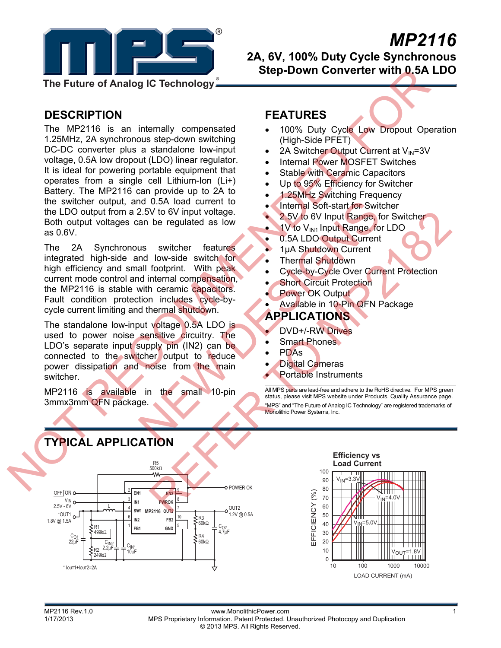

# *MP2116*

**2A, 6V, 100% Duty Cycle Synchronous Step-Down Converter with 0.5A LDO** 

**The Future of Analog IC Technology**

## **DESCRIPTION**

The MP2116 is an internally compensated 1.25MHz, 2A synchronous step-down switching DC-DC converter plus a standalone low-input voltage, 0.5A low dropout (LDO) linear regulator. It is ideal for powering portable equipment that operates from a single cell Lithium-Ion (Li+) Battery. The MP2116 can provide up to 2A to the switcher output, and 0.5A load current to the LDO output from a 2.5V to 6V input voltage. Both output voltages can be regulated as low as 0.6V. The Future of Analog IC Technology<br>
MESCRIPTION<br>
The MP2116 is an intensity compensated<br>
1.69% Duty Cycle Lew Dropout Operations<br>
1.69% Duty Cycle Lew Dropout Operations<br>
1.69% Duty Cycle Lew Dropout Operations<br>
1.69% Duty

The 2A Synchronous switcher features integrated high-side and low-side switch for high efficiency and small footprint. With peak current mode control and internal compensation, the MP2116 is stable with ceramic capacitors. Fault condition protection includes cycle-bycycle current limiting and thermal shutdown. NEW 25V to 6V input voltage.<br>
2.5V to 6V input voltage.<br>
an be regulated as low<br>
sus switcher features<br>
Moveside switch for the main of the small footprint. With peak<br>
Moveside switch for the Thermal Shutdown Current<br>
all

The standalone low-input voltage 0.5A LDO is used to power noise sensitive circuitry. The LDO's separate input supply pin (IN2) can be connected to the switcher output to reduce power dissipation and noise from the main switcher.

MP2116 is available in the small 10-pin 3mmx3mm QFN package.

## **FEATURES**

- 100% Duty Cycle Low Dropout Operation (High-Side PFET)
- 2A Switcher Output Current at  $V_{IN}$ =3V
- Internal Power MOSFET Switches
- **Stable with Ceramic Capacitors**
- Up to 95% Efficiency for Switcher
- 1.25MHz Switching Frequency
- Internal Soft-start for Switcher
- 2.5V to 6V Input Range, for Switcher
- $\bullet$  1V to V<sub>IN1</sub> Input Range, for LDO
- 0.5A LDO Output Current
- **1uA Shutdown Current**
- Thermal Shutdown
- Cycle-by-Cycle Over Current Protection
- **Short Circuit Protection**
- Power OK Output
- Available in 10-Pin QFN Package

## **APPLICATIONS**

- DVD+/-RW Drives
- **Smart Phones**
- PDAs
- **Digital Cameras**
- Portable Instruments

All MPS parts are lead-free and adhere to the RoHS directive. For MPS green status, please visit MPS website under Products, Quality Assurance page. "MPS" and "The Future of Analog IC Technology" are registered trademarks of Monolithic Power Systems, Inc.



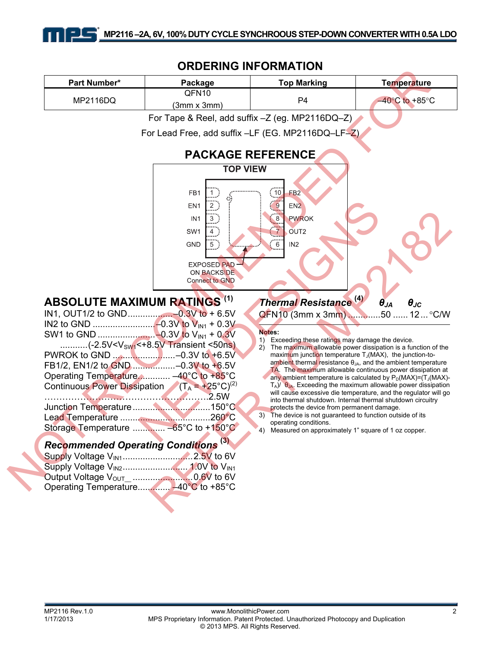## **ORDERING INFORMATION**

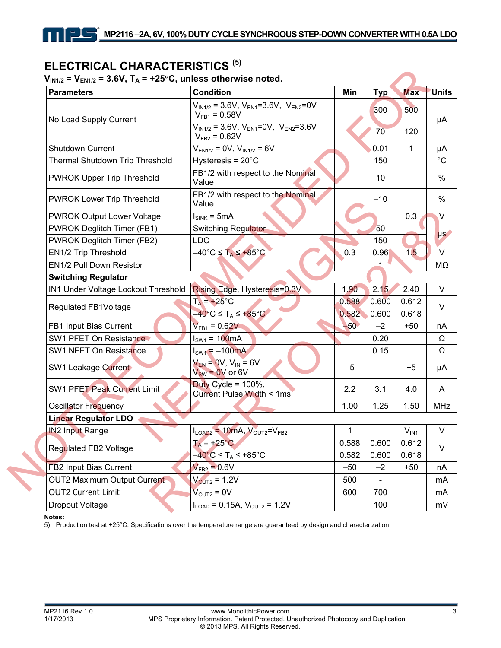## **ELECTRICAL CHARACTERISTICS** <sup>(5)</sup><br>V<sub>nus</sub> = V<sub>nus</sub> = 3.6V, T, = +25°C, unless otherwi

1 I L

### $= 2$  GV, T.  $= +25$ °C, unless otherwise noted.

| <b>Parameters</b>                   | <b>Condition</b>                                                        | Min    | <b>Typ</b> | <b>Max</b> | <b>Units</b> |
|-------------------------------------|-------------------------------------------------------------------------|--------|------------|------------|--------------|
| No Load Supply Current              | $V_{IN1/2}$ = 3.6V, $V_{EN1}$ =3.6V, $V_{EN2}$ =0V<br>$V_{FB1} = 0.58V$ |        | 300        | 500        |              |
|                                     | $V_{IN1/2}$ = 3.6V, $V_{EN1}$ =0V, $V_{EN2}$ =3.6V<br>$V_{FB2} = 0.62V$ |        | 70         | 120        |              |
| Shutdown Current                    | $V_{EN1/2} = 0V$ , $V_{IN1/2} = 6V$                                     |        | 0.01       | 1          |              |
| Thermal Shutdown Trip Threshold     | Hysteresis = $20^{\circ}$ C                                             |        | 150        |            |              |
| PWROK Upper Trip Threshold          | FB1/2 with respect to the Nominal<br>Value                              |        | 10         |            |              |
| PWROK Lower Trip Threshold          | FB1/2 with respect to the Nominal<br>Value                              |        | $-10$      |            |              |
| <b>PWROK Output Lower Voltage</b>   | $I_{SINK}$ = 5mA                                                        |        |            | 0.3        |              |
| PWROK Deglitch Timer (FB1)          | <b>Switching Regulator</b>                                              |        | 50         |            |              |
| PWROK Deglitch Timer (FB2)          | <b>LDO</b>                                                              |        | 150        |            |              |
| EN1/2 Trip Threshold                | $-40^{\circ}$ C $\leq$ T <sub>A</sub> $\leq$ +85°C                      | 0.3    | 0.96       | 1.5        |              |
| EN1/2 Pull Down Resistor            |                                                                         |        |            |            |              |
| <b>Switching Regulator</b>          |                                                                         |        |            |            |              |
| IN1 Under Voltage Lockout Threshold | Rising Edge, Hysteresis=0.3V                                            | 1.90   | 2.15       | 2.40       |              |
| Regulated FB1Voltage                | $T_A$ = +25°C                                                           | 0.588  | 0.600      | 0.612      |              |
|                                     | $-40^{\circ}$ C $\leq$ T <sub>A</sub> $\leq$ +85 $^{\circ}$ C           | 0.582  | 0.600      | 0.618      |              |
| FB1 Input Bias Current              | $V_{FB1} = 0.62V$                                                       | $-50o$ | $-2$       | $+50$      |              |
| SW1 PFET On Resistance              | $I_{SW1} = 100mA$                                                       |        | 0.20       |            |              |
| SW1 NFET On Resistance              | $I_{SW1} = -100mA$                                                      |        | 0.15       |            |              |
| SW1 Leakage Current                 | $V_{EN} = 0V, V_{IN} = 6V$<br>$V_{SW} = 0V$ or 6V                       | $-5$   |            | $+5$       |              |
| <b>SW1 PFET Peak Current Limit</b>  | Duty Cycle = $100\%$ ,<br>Current Pulse Width < 1ms                     | 2.2    | 3.1        | 4.0        |              |
| <b>Oscillator Frequency</b>         |                                                                         | 1.00   | 1.25       | 1.50       | <b>MHz</b>   |
| <b>Linear Regulator LDO</b>         |                                                                         |        |            |            |              |
| <b>IN2 Input Range</b>              | $I_{LOAD2}$ = 10mA, $V_{OUT2}=V_{FB2}$                                  | 1      |            | $V_{IN1}$  |              |
| Regulated FB2 Voltage               | $T_A$ = +25°C                                                           | 0.588  | 0.600      | 0.612      |              |
|                                     | $-40^{\circ}$ C $\leq$ T <sub>A</sub> $\leq$ +85 $^{\circ}$ C<br>0.582  |        | 0.600      | 0.618      |              |
| FB2 Input Bias Current              | $V_{FB2} = 0.6V$                                                        | $-50$  | $-2$       | $+50$      |              |
| OUT2 Maximum Output Current         | $V_{OUT2} = 1.2V$                                                       | 500    |            |            |              |
| <b>OUT2 Current Limit</b>           | $V_{\text{OUT2}} = 0V$                                                  | 600    | 700        |            |              |
| Dropout Voltage                     | $I_{\text{LOAD}} = 0.15A, V_{\text{OUT2}} = 1.2V$                       |        | 100        |            |              |

#### **Notes:**

5) Production test at +25°C. Specifications over the temperature range are guaranteed by design and characterization.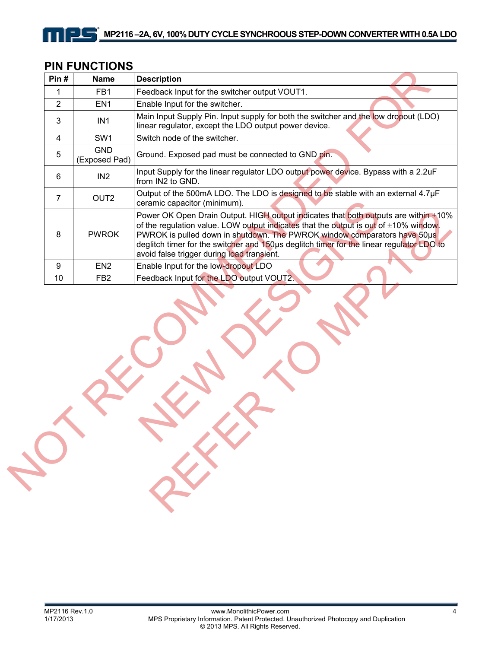| <b>PIN FUNCTIONS</b> |                 |                                                 |  |  |
|----------------------|-----------------|-------------------------------------------------|--|--|
| Pin#                 | <b>Name</b>     | <b>Description</b>                              |  |  |
|                      | FB <sub>1</sub> | Feedback Input for the switcher output VOUT1.   |  |  |
|                      | FN <sub>1</sub> | Enable Input for the switcher.                  |  |  |
|                      |                 | Main Japut Cupply Dip Japut qupply for both the |  |  |

nil

| Pin#                                       | <b>Name</b><br><b>Description</b>                                                                                                                                                                                                                                                                                                                                                                       |
|--------------------------------------------|---------------------------------------------------------------------------------------------------------------------------------------------------------------------------------------------------------------------------------------------------------------------------------------------------------------------------------------------------------------------------------------------------------|
| 1<br>FB1                                   | Feedback Input for the switcher output VOUT1.                                                                                                                                                                                                                                                                                                                                                           |
| $\overline{2}$<br>EN <sub>1</sub>          | Enable Input for the switcher.                                                                                                                                                                                                                                                                                                                                                                          |
| 3<br>IN <sub>1</sub>                       | Main Input Supply Pin. Input supply for both the switcher and the low dropout (LDO)<br>linear regulator, except the LDO output power device.                                                                                                                                                                                                                                                            |
| $\overline{\mathbf{4}}$<br>SW <sub>1</sub> | Switch node of the switcher.                                                                                                                                                                                                                                                                                                                                                                            |
| <b>GND</b><br>5                            | Ground. Exposed pad must be connected to GND pin.<br>(Exposed Pad)                                                                                                                                                                                                                                                                                                                                      |
| IN <sub>2</sub><br>6                       | Input Supply for the linear regulator LDO output power device. Bypass with a 2.2uF<br>from IN2 to GND.                                                                                                                                                                                                                                                                                                  |
| OUT <sub>2</sub><br>7                      | Output of the 500mA LDO. The LDO is designed to be stable with an external 4.7µF<br>ceramic capacitor (minimum).                                                                                                                                                                                                                                                                                        |
| 8<br><b>PWROK</b>                          | Power OK Open Drain Output. HIGH output indicates that both outputs are within $\pm 10\%$<br>of the regulation value. LOW output indicates that the output is out of ±10% window.<br>PWROK is pulled down in shutdown. The PWROK window comparators have 50us<br>deglitch timer for the switcher and 150us deglitch timer for the linear regulator LDO to<br>avoid false trigger during load transient. |
| 9<br>EN <sub>2</sub>                       | Enable Input for the low-dropout LDO                                                                                                                                                                                                                                                                                                                                                                    |
| 10<br>FB <sub>2</sub>                      | Feedback Input for the LDO output VOUT2.                                                                                                                                                                                                                                                                                                                                                                |
|                                            |                                                                                                                                                                                                                                                                                                                                                                                                         |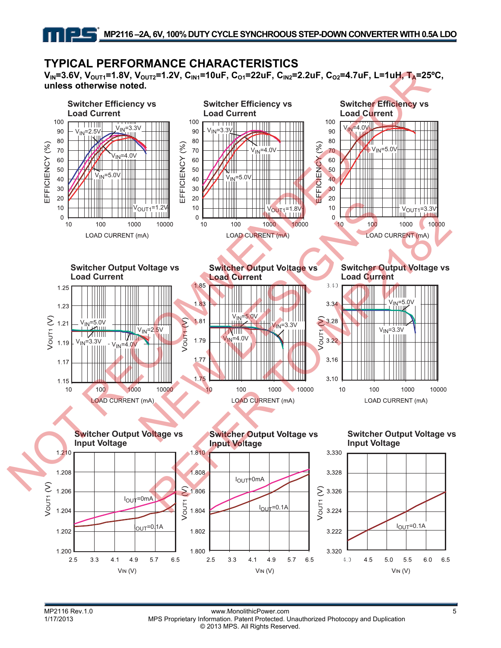V<sub>IN</sub>=3.6V, V<sub>OUT1</sub>=1.8V, V<sub>OUT2</sub>=1.2V, C<sub>IN1</sub>=10uF, C<sub>O1</sub>=22uF, C<sub>IN2</sub>=2.2uF, C<sub>O2</sub>=4.7uF, L=1uH, T<sub>A</sub>=25°C, **unless otherwise noted.** 

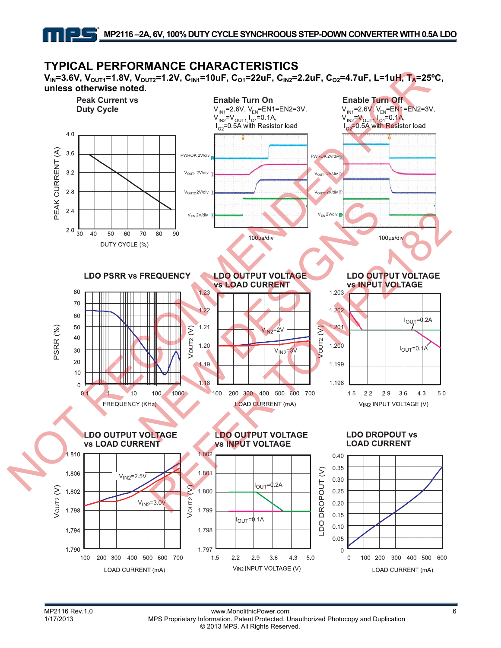V<sub>IN</sub>=3.6V, V<sub>OUT1</sub>=1.8V, V<sub>OUT2</sub>=1.2V, C<sub>IN1</sub>=10uF, C<sub>O1</sub>=22uF, C<sub>IN2</sub>=2.2uF, C<sub>O2</sub>=4.7uF, L=1uH, T<sub>A</sub>=25°C, **unless otherwise noted.** 

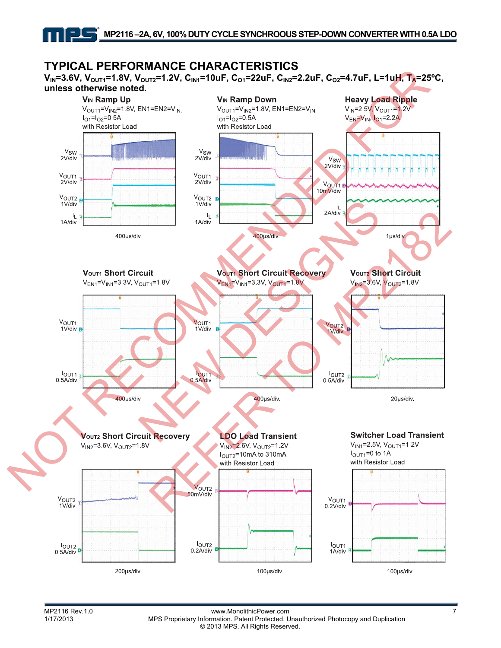V<sub>IN</sub>=3.6V, V<sub>OUT1</sub>=1.8V, V<sub>OUT2</sub>=1.2V, C<sub>IN1</sub>=10uF, C<sub>O1</sub>=22uF, C<sub>IN2</sub>=2.2uF, C<sub>O2</sub>=4.7uF, L=1uH, T<sub>A</sub>=25°C,



MP2116 Rev.1.0 www.MonolithicPower.com<br>1/17/2013 MPS Proprietary Information. Patent Protected. Unauthorized Photocopy and Duplication MPS Proprietary Information. Patent Protected. Unauthorized Photocopy and Duplication © 2013 MPS. All Rights Reserved.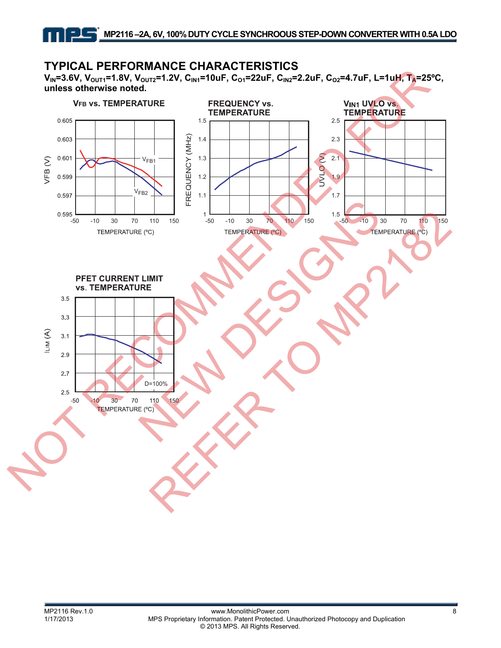V<sub>IN</sub>=3.6V, V<sub>OUT1</sub>=1.8V, V<sub>OUT2</sub>=1.2V, C<sub>IN1</sub>=10uF, C<sub>O1</sub>=22uF, C<sub>IN2</sub>=2.2uF, C<sub>O2</sub>=4.7uF, L=1uH, T<sub>A</sub>=25°C, **unless otherwise noted.** 

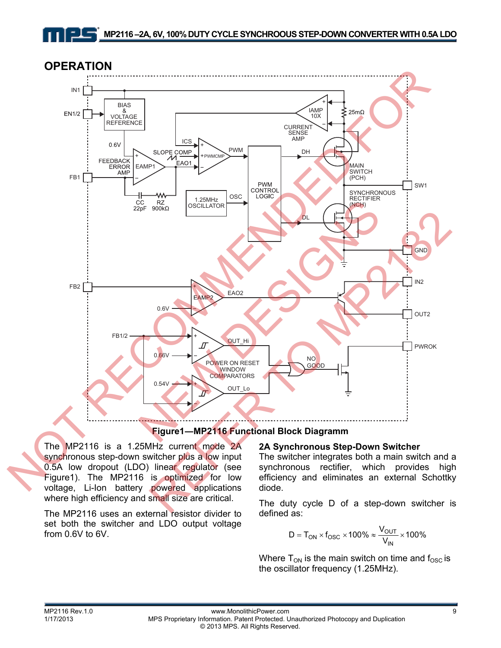



The MP2116 is a 1.25MHz current mode 2A synchronous step-down switcher plus a low input 0.5A low dropout (LDO) linear regulator (see Figure1). The MP2116 is optimized for low voltage, Li-Ion battery powered applications where high efficiency and small size are critical.

The MP2116 uses an external resistor divider to set both the switcher and LDO output voltage from 0.6V to 6V.

#### **2A Synchronous Step-Down Switcher**

The switcher integrates both a main switch and a synchronous rectifier, which provides high efficiency and eliminates an external Schottky diode.

The duty cycle D of a step-down switcher is defined as:

$$
D = T_{ON} \times f_{OSC} \times 100\% \approx \frac{V_{OUT}}{V_{IN}} \times 100\%
$$

Where  $T_{ON}$  is the main switch on time and  $f_{OSC}$  is the oscillator frequency (1.25MHz).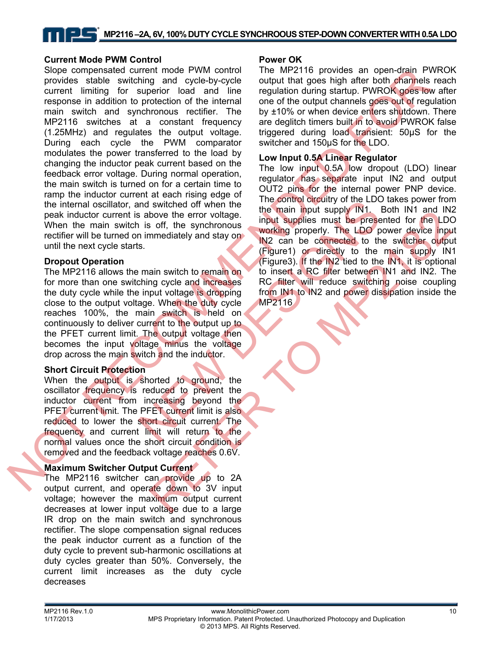#### **Current Mode PWM Control**

Slope compensated current mode PWM control provides stable switching and cycle-by-cycle current limiting for superior load and line response in addition to protection of the internal main switch and synchronous rectifier. The MP2116 switches at a constant frequency (1.25MHz) and regulates the output voltage. During each cycle the PWM comparator modulates the power transferred to the load by changing the inductor peak current based on the feedback error voltage. During normal operation, the main switch is turned on for a certain time to ramp the inductor current at each rising edge of the internal oscillator, and switched off when the peak inductor current is above the error voltage. When the main switch is off, the synchronous rectifier will be turned on immediately and stay on until the next cycle starts. Since compensated current interestigation and PWM control The MP2116 provides an open-danger Particular proposition and the regulation during the MP216 Current limiting for supportion and the regulation during the studies

#### **Dropout Operation**

The MP2116 allows the main switch to remain on for more than one switching cycle and increases the duty cycle while the input voltage is dropping close to the output voltage. When the duty cycle reaches 100%, the main switch is held on continuously to deliver current to the output up to the PFET current limit. The output voltage then becomes the input voltage minus the voltage drop across the main switch and the inductor.

#### **Short Circuit Protection**

When the output is shorted to ground, the oscillator frequency is reduced to prevent the inductor current from increasing beyond the PFET current limit. The PFET current limit is also reduced to lower the short circuit current. The frequency and current limit will return to the normal values once the short circuit condition is removed and the feedback voltage reaches 0.6V.

#### **Maximum Switcher Output Current**

The MP2116 switcher can provide up to 2A output current, and operate down to 3V input voltage; however the maximum output current decreases at lower input voltage due to a large IR drop on the main switch and synchronous rectifier. The slope compensation signal reduces the peak inductor current as a function of the duty cycle to prevent sub-harmonic oscillations at duty cycles greater than 50%. Conversely, the current limit increases as the duty cycle decreases

#### **Power OK**

The MP2116 provides an open-drain PWROK output that goes high after both channels reach regulation during startup. PWROK goes low after one of the output channels goes out of regulation by ±10% or when device enters shutdown. There are deglitch timers built in to avoid PWROK false triggered during load transient: 50µS for the switcher and 150µS for the LDO.

#### **Low Input 0.5A Linear Regulator**

The low input 0.5A low dropout (LDO) linear regulator has separate input IN2 and output OUT2 pins for the internal power PNP device. The control circuitry of the LDO takes power from the main input supply IN1. Both IN1 and IN2 input supplies must be presented for the LDO working properly. The LDO power device input IN2 can be connected to the switcher output (Figure1) or directly to the main supply IN1 (Figure3). If the IN2 tied to the IN1, it is optional to insert a RC filter between IN1 and IN2. The RC filter will reduce switching noise coupling from IN1 to IN2 and power dissipation inside the and switched off when the the control during the LDC in the time control in in the time main input supply IN1.<br>
In is off, the synchronous input supplies must be presented to the synchronous working properly. The LDO p<br>
S. bove the error voltage.<br>
input supplies must be presented for the LDC<br>
off, the synchronous<br>
working property. The LDO power device input<br>
mineralizely and stay on<br>  $R = 100$  power device input<br>
ain switch to remain on<br>  $R =$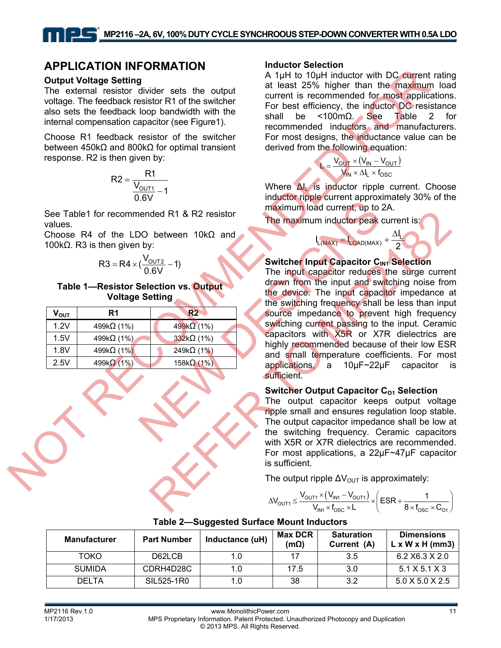## **APPLICATION INFORMATION**

#### **Output Voltage Setting**

The external resistor divider sets the output voltage. The feedback resistor R1 of the switcher also sets the feedback loop bandwidth with the internal compensation capacitor (see Figure1).

Choose R1 feedback resistor of the switcher between 450kΩ and 800kΩ for optimal transient response. R2 is then given by:

$$
R2 = \frac{R1}{\frac{V_{\text{OUT1}}}{0.6V} - 1}
$$

See Table1 for recommended R1 & R2 resistor values.

Choose R4 of the LDO between 10kΩ and 100k $Ω$ . R3 is then given by:

$$
R3 = R4 \times (\frac{V_{\text{OUT2}}}{0.6V} - 1)
$$

#### **Table 1—Resistor Selection vs. Output Voltage Setting**

| V <sub>ουτ</sub> | R1                 | <b>R2</b>          |
|------------------|--------------------|--------------------|
| 1.2V             | 499k $\Omega$ (1%) | $499k\Omega(1\%)$  |
| 1.5V             | 499k $\Omega$ (1%) | $332k\Omega(1\%)$  |
| 1.8V             | 499k $\Omega$ (1%) | 249k $\Omega$ (1%) |
| 2.5V             | 499 $k\Omega$ (1%) | 158k $\Omega$ (1%) |

#### **Inductor Selection**

A 1uH to 10uH inductor with DC current rating at least 25% higher than the maximum load current is recommended for most applications. For best efficiency, the inductor DC resistance shall be <100m $\Omega$ . See Table 2 for recommended inductors and manufacturers. For most designs, the inductance value can be derived from the following equation:

$$
L = \frac{V_{OUT} \times (V_{IN} - V_{OUT})}{V_{IN} \times \Delta I_L \times f_{OSC}}
$$

Where ΔI<sub>L</sub> is inductor ripple current. Choose inductor ripple current approximately 30% of the maximum load current, up to 2A.

 $I_{L(MAX)} = I_{LOAD(MAX)} + \frac{\Delta I}{2}$ 

L

2 Δ

The maximum inductor peak current is:

#### **Switcher Input Capacitor CIN1 Selection**

The input capacitor reduces the surge current drawn from the input and switching noise from the device. The input capacitor impedance at the switching frequency shall be less than input source impedance to prevent high frequency switching current passing to the input. Ceramic capacitors with X5R or X7R dielectrics are highly recommended because of their low ESR and small temperature coefficients. For most applications, a 10μF~22μF capacitor sufficient. **EXECUTION TRIVE CONTRACT CONTRACT CONTRACT CONTRACT CONTRACT CONTRACT CONTRACT CONTRACT CONTRACT CONTRACT CONTRACT CONTRACT CONTRACT CONTRACT CONTRACT CONTRACT CONTRACT CONTRACT CONTRACT CONTRACT CONTRACT CONTRACT CONTRA** Novembed R1 & R2 resistor<br>
Novembed R1 & R2 resistor<br>
Novembed R1 & R2 resistor<br>
Novembed Current, up to<br>
Novembed Current, up to<br>
Novembed Current, up to<br>
Selection vs. Output<br>
Selection vs. Output<br>
Selection vs. Output ded R1 & R2 resistor<br>
Fine maximum inductor peak current is:<br>
between 10kΩ and<br>  $\frac{1}{100}$ <br>
Sixtener Imput capacitor C<sub>M</sub>. Selection<br>
The input capacitor C<sub>M</sub>. Selection<br>
details are the simple current in the input capac

#### **Switcher Output Capacitor C<sub>01</sub> Selection**

The output capacitor keeps output voltage ripple small and ensures regulation loop stable. The output capacitor impedance shall be low at the switching frequency. Ceramic capacitors with X5R or X7R dielectrics are recommended. For most applications, a 22μF~47μF capacitor is sufficient.

The output ripple  $\Delta V_{\text{OUT}}$  is approximately:

$$
\Delta V_{\text{OUT1}} \leq \frac{V_{\text{OUT1}} \times (V_{\text{INI}} - V_{\text{OUT1}})}{V_{\text{INI}} \times f_{\text{OSC}} \times L} \times \left(ESR + \frac{1}{8 \times f_{\text{OSC}} \times C_{\text{OT}}}\right)
$$

| <b>Manufacturer</b> | <b>Part Number</b> | Inductance (uH) | <b>Max DCR</b><br>$(m\Omega)$ | <b>Saturation</b><br>Current (A) | <b>Dimensions</b><br>$L \times W \times H$ (mm3) |
|---------------------|--------------------|-----------------|-------------------------------|----------------------------------|--------------------------------------------------|
| <b>TOKO</b>         | D62LCB             | 1.0             |                               | 3.5                              | $6.2$ X6.3 X 2.0                                 |
| <b>SUMIDA</b>       | CDRH4D28C          | 1.0             | 17.5                          | 3.0                              | $5.1$ X 5.1 X 3                                  |
| <b>DELTA</b>        | SIL525-1R0         | 1.0             | 38                            | 3.2                              | $5.0 \times 5.0 \times 2.5$                      |

#### **Table 2—Suggested Surface Mount Inductors**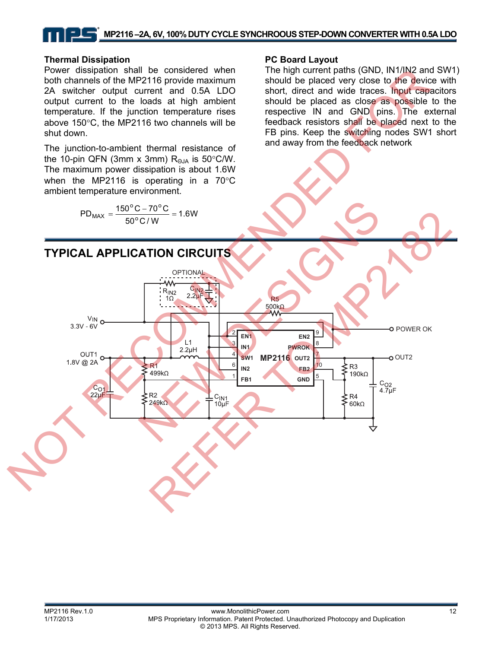## **MP2116 –2A, 6V, 100% DUTY CYCLE SYNCHROOUS STEP-DOWN CONVERTER WITH 0.5A LDO**

#### **Thermal Dissipation**

Power dissipation shall be considered when both channels of the MP2116 provide maximum 2A switcher output current and 0.5A LDO output current to the loads at high ambient temperature. If the junction temperature rises above 150°C, the MP2116 two channels will be shut down.

The junction-to-ambient thermal resistance of the 10-pin QFN (3mm x 3mm)  $R_{\Theta JA}$  is 50°C/W. The maximum power dissipation is about 1.6W when the MP2116 is operating in a 70°C ambient temperature environment.

$$
PD_{MAX} = \frac{150\,^{\circ}C - 70\,^{\circ}C}{50\,^{\circ}C/W} = 1.6W
$$

#### **PC Board Layout**

The high current paths (GND, IN1/IN2 and SW1) should be placed very close to the device with short, direct and wide traces. Input capacitors should be placed as close as possible to the respective IN and GND pins. The external feedback resistors shall be placed next to the FB pins. Keep the switching nodes SW1 short and away from the feedback network